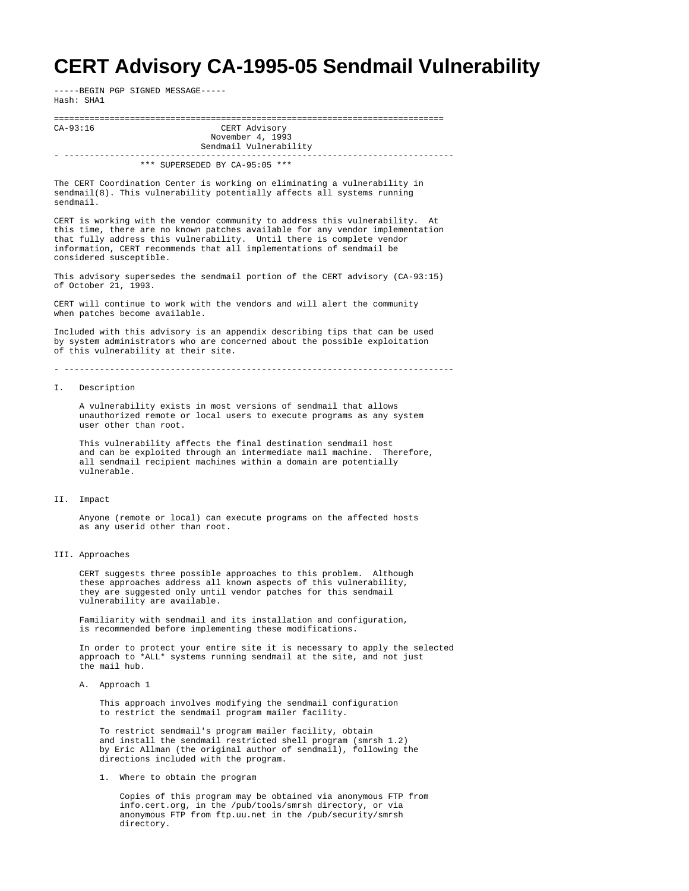## **CERT Advisory CA-1995-05 Sendmail Vulnerability**

-----BEGIN PGP SIGNED MESSAGE----- Hash: SHA1

============================================================================= CERT Advisory November 4, 1993 Sendmail Vulnerability - ----------------------------------------------------------------------------- \*\*\* SUPERSEDED BY CA-95:05 \*\*\* The CERT Coordination Center is working on eliminating a vulnerability in sendmail(8). This vulnerability potentially affects all systems running sendmail. CERT is working with the vendor community to address this vulnerability. At this time, there are no known patches available for any vendor implementation that fully address this vulnerability. Until there is complete vendor information, CERT recommends that all implementations of sendmail be considered susceptible. This advisory supersedes the sendmail portion of the CERT advisory (CA-93:15) of October 21, 1993. CERT will continue to work with the vendors and will alert the community when patches become available. Included with this advisory is an appendix describing tips that can be used by system administrators who are concerned about the possible exploitation of this vulnerability at their site. - ----------------------------------------------------------------------------- I. Description A vulnerability exists in most versions of sendmail that allows unauthorized remote or local users to execute programs as any system user other than root. This vulnerability affects the final destination sendmail host and can be exploited through an intermediate mail machine. Therefore, all sendmail recipient machines within a domain are potentially vulnerable. II. Impact Anyone (remote or local) can execute programs on the affected hosts as any userid other than root. III. Approaches CERT suggests three possible approaches to this problem. Although these approaches address all known aspects of this vulnerability, they are suggested only until vendor patches for this sendmail vulnerability are available. Familiarity with sendmail and its installation and configuration, is recommended before implementing these modifications. In order to protect your entire site it is necessary to apply the selected approach to \*ALL\* systems running sendmail at the site, and not just the mail hub. A. Approach 1 This approach involves modifying the sendmail configuration to restrict the sendmail program mailer facility.

> To restrict sendmail's program mailer facility, obtain and install the sendmail restricted shell program (smrsh 1.2) by Eric Allman (the original author of sendmail), following the directions included with the program.

1. Where to obtain the program

 Copies of this program may be obtained via anonymous FTP from info.cert.org, in the /pub/tools/smrsh directory, or via anonymous FTP from ftp.uu.net in the /pub/security/smrsh directory.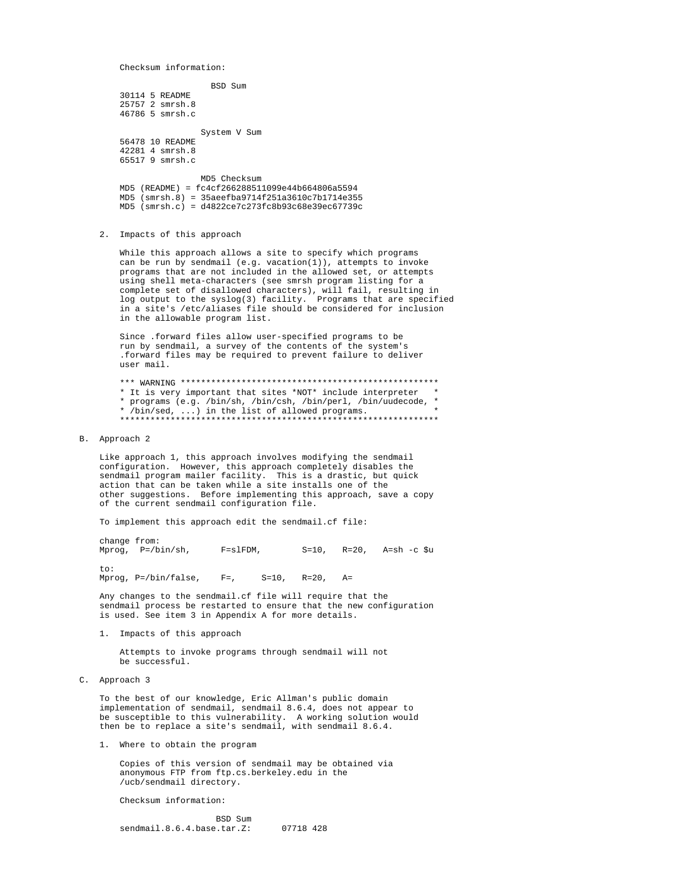Checksum information:

BSD Sum 30114 5 README 25757 2 smrsh.8 46786 5 smrsh.c System V Sum 56478 10 README 42281 4 smrsh.8 65517 9 smrsh.c

MD5 Checksum  $MD5 (README) = f c4c1266288511099e44b664806a5594$  $MD5$  (smrsh.8) = 35aeefba9714f251a3610c7b1714e355  $MD5$  (smrsh.c) =  $d4822ce7c273fc8b93c68e39ec67739c$ 

2. Impacts of this approach

While this approach allows a site to specify which programs can be run by sendmail (e.g. vacation(1)), attempts to invoke programs that are not included in the allowed set, or attempts using shell meta-characters (see smrsh program listing for a complete set of disallowed characters), will fail, resulting in log output to the syslog(3) facility. Programs that are specified in a site's /etc/aliases file should be considered for inclusion in the allowable program list.

Since .forward files allow user-specified programs to be run by sendmail, a survey of the contents of the system's .forward files may be required to prevent failure to deliver user mail.

\* It is very important that sites \*NOT\* include interpreter \* \* programs (e.g. /bin/sh, /bin/csh, /bin/perl, /bin/uudecode, \*  $\frac{1}{2}$  /bin/sed, ...) in the list of allowed programs.

B. Approach 2

Like approach 1, this approach involves modifying the sendmail configuration. However, this approach completely disables the sendmail program mailer facility. This is a drastic, but quick action that can be taken while a site installs one of the other suggestions. Before implementing this approach, save a copy of the current sendmail configuration file.

To implement this approach edit the sendmail.cf file:

change from: Mprog,  $P = / \text{bin}/\text{sh}$ ,  $F = s1FDM$ ,  $S=10$ ,  $R=20$ ,  $A=sh-c$  \$u  $t \cap t$ :

Mprog,  $P = / \text{bin/false}$ ,  $F =$ ,  $S = 10$ ,  $R = 20$ ,  $A =$ 

Any changes to the sendmail.cf file will require that the sendmail process be restarted to ensure that the new configuration is used. See item 3 in Appendix A for more details.

1. Impacts of this approach

Attempts to invoke programs through sendmail will not be successful.

C. Approach 3

To the best of our knowledge, Eric Allman's public domain implementation of sendmail, sendmail 8.6.4, does not appear to Impromotion of between the containing the susceptible to this vulnerability. A working solution would<br>then be to replace a site's sendmail, with sendmail 8.6.4.

1. Where to obtain the program

Copies of this version of sendmail may be obtained via anonymous FTP from ftp.cs.berkeley.edu in the /ucb/sendmail directory.

Checksum information:

BSD Sum sendmail.8.6.4.base.tar.Z: 07718 428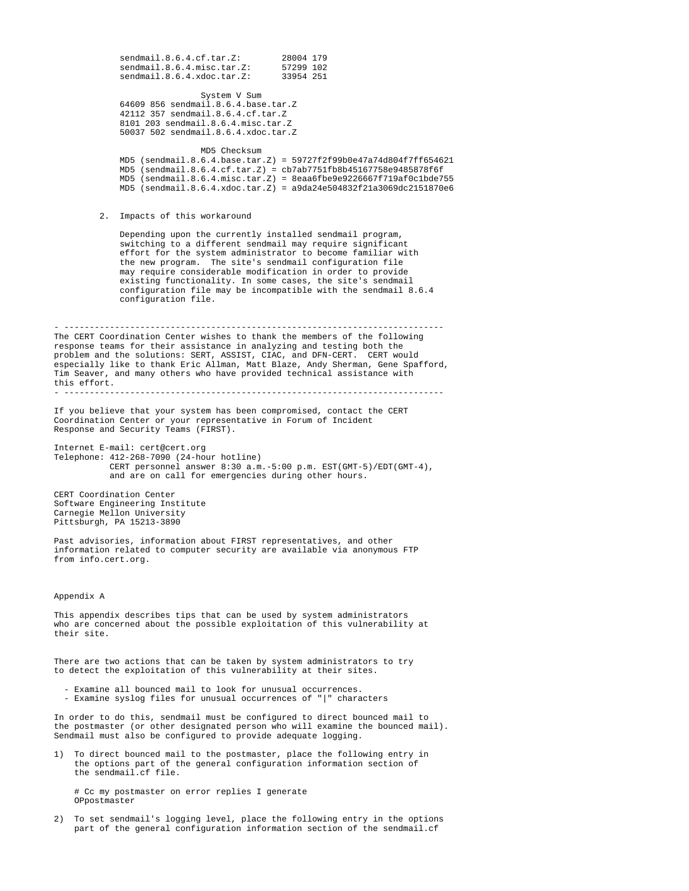sendmail.8.6.4.cf.tar.Z: 28004 179<br>sendmail.8.6.4.misc.tar.Z: 57299 102<br>sendmail.8.6.4.xdoc.tar.Z: 33954 251 sendmail.8.6.4.misc.tar.Z: sendmail.8.6.4.xdoc.tar.Z: System V Sum 64609 856 sendmail.8.6.4.base.tar.Z 42112 357 sendmail.8.6.4.cf.tar.Z 8101 203 sendmail.8.6.4.misc.tar.Z 50037 502 sendmail.8.6.4.xdoc.tar.Z MD5 Checksum MD5 (sendmail.8.6.4.base.tar.Z) = 59727f2f99b0e47a74d804f7ff654621 MD5 (sendmail.8.6.4.cf.tar.Z) = cb7ab7751fb8b45167758e9485878f6f  $MD5$  (sendmail.8.6.4.misc.tar.Z) = 8eaa6fbe9e9226667f719af0c1bde755  $MD5$  (sendmail.8.6.4.xdoc.tar.Z) = a9da24e504832f21a3069dc2151870e6 2. Impacts of this workaround Depending upon the currently installed sendmail program, switching to a different sendmail may require significant effort for the system administrator to become familiar with the new program. The site's sendmail configuration file may require considerable modification in order to provide existing functionality. In some cases, the site's sendmail configuration file may be incompatible with the sendmail 8.6.4 configuration file. - --------------------------------------------------------------------------- The CERT Coordination Center wishes to thank the members of the following response teams for their assistance in analyzing and testing both the problem and the solutions: SERT, ASSIST, CIAC, and DFN-CERT. CERT would especially like to thank Eric Allman, Matt Blaze, Andy Sherman, Gene Spafford, Tim Seaver, and many others who have provided technical assistance with this effort. - --------------------------------------------------------------------------- If you believe that your system has been compromised, contact the CERT Coordination Center or your representative in Forum of Incident Response and Security Teams (FIRST). Internet E-mail: cert@cert.org Telephone: 412-268-7090 (24-hour hotline) CERT personnel answer 8:30 a.m.-5:00 p.m. EST(GMT-5)/EDT(GMT-4), and are on call for emergencies during other hours. CERT Coordination Center

Software Engineering Institute Carnegie Mellon University Pittsburgh, PA 15213-3890

Past advisories, information about FIRST representatives, and other information related to computer security are available via anonymous FTP from info.cert.org.

Appendix A

This appendix describes tips that can be used by system administrators who are concerned about the possible exploitation of this vulnerability at their site.

There are two actions that can be taken by system administrators to try to detect the exploitation of this vulnerability at their sites.

- Examine all bounced mail to look for unusual occurrences.
- Examine syslog files for unusual occurrences of "|" characters

In order to do this, sendmail must be configured to direct bounced mail to the postmaster (or other designated person who will examine the bounced mail). Sendmail must also be configured to provide adequate logging.

1) To direct bounced mail to the postmaster, place the following entry in the options part of the general configuration information section of the sendmail.cf file.

 # Cc my postmaster on error replies I generate OPpostmaster

2) To set sendmail's logging level, place the following entry in the options part of the general configuration information section of the sendmail.cf